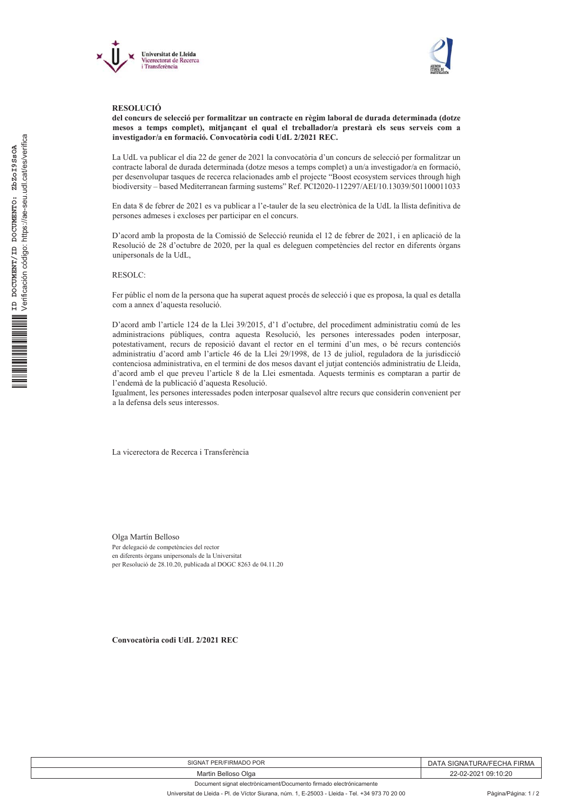



## **RESOLUCIÓ**

del concurs de selecció per formalitzar un contracte en règim laboral de durada determinada (dotze mesos a temps complet), mitjançant el qual el treballador/a prestarà els seus serveis com a investigador/a en formació. Convocatòria codi UdL 2/2021 REC.

La UdL va publicar el dia 22 de gener de 2021 la convocatòria d'un concurs de selecció per formalitzar un contracte laboral de durada determinada (dotze mesos a temps complet) a un/a investigador/a en formació, per desenvolupar tasques de recerca relacionades amb el projecte "Boost ecosystem services through high biodiversity - based Mediterranean farming sustems" Ref. PCI2020-112297/AEI/10.13039/501100011033

En data 8 de febrer de 2021 es va publicar a l'e-tauler de la seu electrònica de la UdL la llista definitiva de persones admeses i excloses per participar en el concurs.

D'acord amb la proposta de la Comissió de Selecció reunida el 12 de febrer de 2021, i en aplicació de la Resolució de 28 d'octubre de 2020, per la qual es deleguen competències del rector en diferents òrgans unipersonals de la UdL,

**RESOLC:** 

Fer públic el nom de la persona que ha superat aquest procés de selecció i que es proposa, la qual es detalla com a annex d'aquesta resolució.

D'acord amb l'article 124 de la Llei 39/2015, d'1 d'octubre, del procediment administratiu comú de les administracions públiques, contra aquesta Resolució, les persones interessades poden interposar, potestativament, recurs de reposició davant el rector en el termini d'un mes, o bé recurs contenciós administratiu d'acord amb l'article 46 de la Llei 29/1998, de 13 de juliol, reguladora de la jurisdicció contenciosa administrativa, en el termini de dos mesos davant el jutjat contenciós administratiu de Lleida, d'acord amb el que preveu l'article 8 de la Llei esmentada. Aquests terminis es comptaran a partir de l'endemà de la publicació d'aquesta Resolució.

Igualment, les persones interessades poden interposar qualsevol altre recurs que considerin convenient per a la defensa dels seus interessos.

La vicerectora de Recerca i Transferència

Olga Martín Belloso Per delegació de competències del rector en diferents òrgans unipersonals de la Universitat per Resolució de 28.10.20, publicada al DOGC 8263 de 04.11.20

Convocatòria codi UdL 2/2021 REC

| SIGNAT PER/FIRMADO POR                                             | ، SIGNATURA/FECHA FIRMA<br>٦A |
|--------------------------------------------------------------------|-------------------------------|
| Martin Belloso Olga                                                | 22-02-2021 09:10:20           |
| Document signat electrònicament/Documento firmado electrónicamente |                               |

Universitat de Lleida - Pl. de Víctor Siurana, núm. 1, E-25003 - Lleida - Tel. +34 973 70 20 00